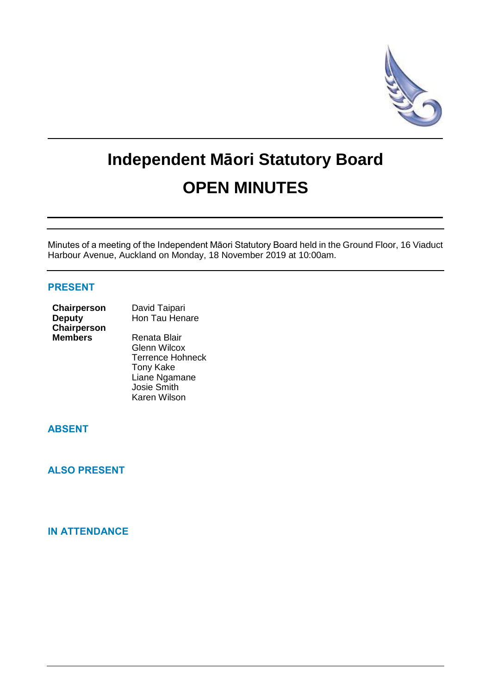

# **Independent Māori Statutory Board OPEN MINUTES**

Minutes of a meeting of the Independent Māori Statutory Board held in the Ground Floor, 16 Viaduct Harbour Avenue, Auckland on Monday, 18 November 2019 at 10:00am.

## **PRESENT**

| Chairperson    | David Taipari       |  |
|----------------|---------------------|--|
| <b>Deputy</b>  | Hon Tau Henare      |  |
| Chairperson    |                     |  |
| <b>Members</b> | Renata Blair        |  |
|                | <b>Glenn Wilcox</b> |  |

Terrence Hohneck Tony Kake Liane Ngamane Josie Smith Karen Wilson

# **ABSENT**

**ALSO PRESENT**

# **IN ATTENDANCE**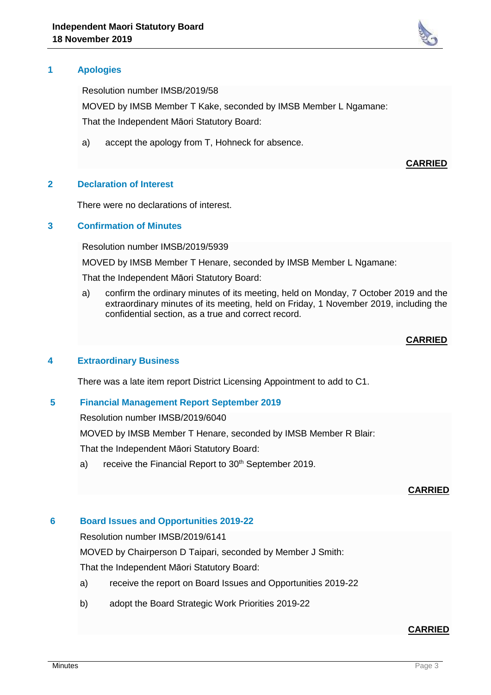

Resolution number IMSB/2019/58

MOVED by IMSB Member T Kake, seconded by IMSB Member L Ngamane: That the Independent Māori Statutory Board:

a) accept the apology from T, Hohneck for absence.

**CARRIED**

## **2 Declaration of Interest**

There were no declarations of interest.

### **3 Confirmation of Minutes**

Resolution number IMSB/2019/5939

MOVED by IMSB Member T Henare, seconded by IMSB Member L Ngamane:

That the Independent Māori Statutory Board:

a) confirm the ordinary minutes of its meeting, held on Monday, 7 October 2019 and the extraordinary minutes of its meeting, held on Friday, 1 November 2019, including the confidential section, as a true and correct record.

#### **CARRIED**

#### **4 Extraordinary Business**

There was a late item report District Licensing Appointment to add to C1.

### **5 Financial Management Report September 2019**

Resolution number IMSB/2019/6040

MOVED by IMSB Member T Henare, seconded by IMSB Member R Blair:

That the Independent Māori Statutory Board:

a) receive the Financial Report to  $30<sup>th</sup>$  September 2019.

#### **CARRIED**

#### **6 Board Issues and Opportunities 2019-22**

Resolution number IMSB/2019/6141

MOVED by Chairperson D Taipari, seconded by Member J Smith:

That the Independent Māori Statutory Board:

- a) receive the report on Board Issues and Opportunities 2019-22
- b) adopt the Board Strategic Work Priorities 2019-22

## **CARRIED**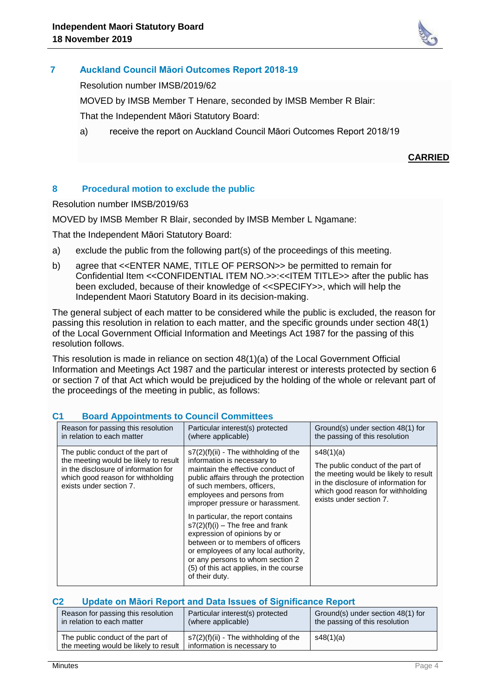

# **7 Auckland Council Māori Outcomes Report 2018-19**

Resolution number IMSB/2019/62

MOVED by IMSB Member T Henare, seconded by IMSB Member R Blair:

That the Independent Māori Statutory Board:

a) receive the report on Auckland Council Māori Outcomes Report 2018/19

# **CARRIED**

# **8 Procedural motion to exclude the public**

Resolution number IMSB/2019/63

MOVED by IMSB Member R Blair, seconded by IMSB Member L Ngamane:

That the Independent Māori Statutory Board:

- a) exclude the public from the following part(s) of the proceedings of this meeting.
- b) agree that <<ENTER NAME, TITLE OF PERSON>> be permitted to remain for Confidential Item <<CONFIDENTIAL ITEM NO.>>:<<ITEM TITLE>> after the public has been excluded, because of their knowledge of <<SPECIFY>>, which will help the Independent Maori Statutory Board in its decision-making.

The general subject of each matter to be considered while the public is excluded, the reason for passing this resolution in relation to each matter, and the specific grounds under section 48(1) of the Local Government Official Information and Meetings Act 1987 for the passing of this resolution follows.

This resolution is made in reliance on section 48(1)(a) of the Local Government Official Information and Meetings Act 1987 and the particular interest or interests protected by section 6 or section 7 of that Act which would be prejudiced by the holding of the whole or relevant part of the proceedings of the meeting in public, as follows:

| Reason for passing this resolution                                                                                                                                                 | Particular interest(s) protected                                                                                                                                                                                                                                                                                                                                                                                                                                                                                                              | Ground(s) under section 48(1) for                                                                                                                                                               |
|------------------------------------------------------------------------------------------------------------------------------------------------------------------------------------|-----------------------------------------------------------------------------------------------------------------------------------------------------------------------------------------------------------------------------------------------------------------------------------------------------------------------------------------------------------------------------------------------------------------------------------------------------------------------------------------------------------------------------------------------|-------------------------------------------------------------------------------------------------------------------------------------------------------------------------------------------------|
| in relation to each matter                                                                                                                                                         | (where applicable)                                                                                                                                                                                                                                                                                                                                                                                                                                                                                                                            | the passing of this resolution                                                                                                                                                                  |
| The public conduct of the part of<br>the meeting would be likely to result<br>in the disclosure of information for<br>which good reason for withholding<br>exists under section 7. | $s7(2)(f)(ii)$ - The withholding of the<br>information is necessary to<br>maintain the effective conduct of<br>public affairs through the protection<br>of such members, officers.<br>employees and persons from<br>improper pressure or harassment.<br>In particular, the report contains<br>$s7(2)(f)(i)$ – The free and frank<br>expression of opinions by or<br>between or to members of officers<br>or employees of any local authority,<br>or any persons to whom section 2<br>(5) of this act applies, in the course<br>of their duty. | s48(1)(a)<br>The public conduct of the part of<br>the meeting would be likely to result<br>in the disclosure of information for<br>which good reason for withholding<br>exists under section 7. |

# **C1 Board Appointments to Council Committees**

## **C2 Update on Māori Report and Data Issues of Significance Report**

| Reason for passing this resolution                                         | Particular interest(s) protected                                            | Ground(s) under section 48(1) for |
|----------------------------------------------------------------------------|-----------------------------------------------------------------------------|-----------------------------------|
| in relation to each matter                                                 | (where applicable)                                                          | the passing of this resolution    |
| The public conduct of the part of<br>the meeting would be likely to result | $\mid$ s7(2)(f)(ii) - The withholding of the<br>information is necessary to | s48(1)(a)                         |